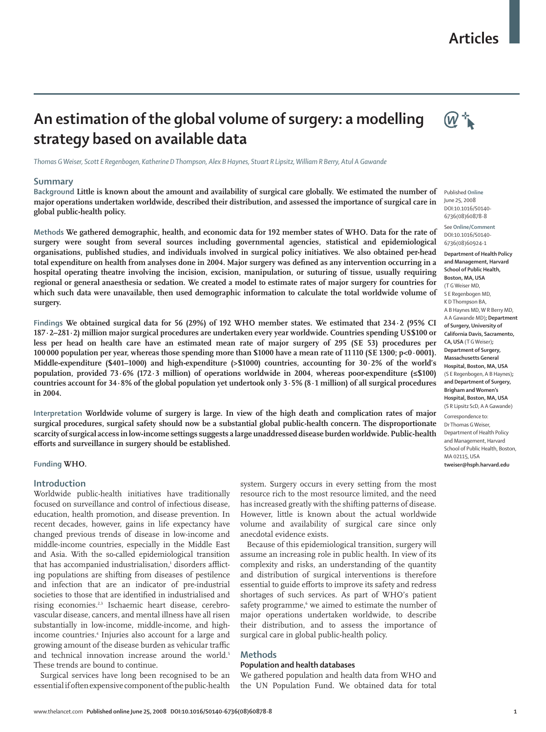# **Articles**



# **An estimation of the global volume of surgery: a modelling strategy based on available data**

*Thomas G Weiser, Scott E Regenbogen, Katherine D Thompson, Alex B Haynes, Stuart R Lipsitz, William R Berry, Atul A Gawande*

#### **Summary**

**Background Little is known about the amount and availability of surgical care globally. We estimated the number of major operations undertaken worldwide, described their distribution, and assessed the importance of surgical care in global public-health policy.** 

**Methods We gathered demographic, health, and economic data for 192 member states of WHO. Data for the rate of surgery were sought from several sources including governmental agencies, statistical and epidemiological organisations, published studies, and individuals involved in surgical policy initiatives. We also obtained per-head**  total expenditure on health from analyses done in 2004. Major surgery was defined as any intervention occurring in a **hospital operating theatre involving the incision, excision, manipulation, or suturing of tissue, usually requiring regional or general anaesthesia or sedation. We created a model to estimate rates of major surgery for countries for**  which such data were unavailable, then used demographic information to calculate the total worldwide volume of **surgery.**

**Findings We obtained surgical data for 56 (29%) of 192 WHO member states. We estimated that 234·2 (95% CI 187·2–281·2) million major surgical procedures are undertaken every year worldwide. Countries spending US\$100 or less per head on health care have an estimated mean rate of major surgery of 295 (SE 53) procedures per 100 000 population per year, whereas those spending more than \$1000 have a mean rate of 11 110 (SE 1300; p<0·0001). Middle-expenditure (\$401–1000) and high-expenditure (>\$1000) countries, accounting for 30·2% of the world's population, provided 73·6% (172·3 million) of operations worldwide in 2004, whereas poor-expenditure (≤\$100) countries account for 34·8% of the global population yet undertook only 3·5% (8·1 million) of all surgical procedures in 2004.**

**Interpretation Worldwide volume of surgery is large. In view of the high death and complication rates of major surgical procedures, surgical safety should now be a substantial global public-health concern. The disproportionate scarcity of surgical access in low-income settings suggests a large unaddressed disease burden worldwide. Public-health**  efforts and surveillance in surgery should be established.

## **Funding WHO.**

# **Introduction**

Worldwide public-health initiatives have traditionally focused on surveillance and control of infectious disease, education, health promotion, and disease prevention. In recent decades, however, gains in life expectancy have changed previous trends of disease in low-income and middle-income countries, especially in the Middle East and Asia. With the so-called epidemiological transition that has accompanied industrialisation,<del>'</del> disorders afflicting populations are shifting from diseases of pestilence and infection that are an indicator of pre-industrial societies to those that are identified in industrialised and rising economies.<sup>2,3</sup> Ischaemic heart disease, cerebrovascular disease, cancers, and mental illness have all risen substantially in low-income, middle-income, and highincome countries.4 Injuries also account for a large and growing amount of the disease burden as vehicular traffic and technical innovation increase around the world.<sup>5</sup> These trends are bound to continue.

Surgical services have long been recognised to be an essential if often expensive component of the public-health system. Surgery occurs in every setting from the most resource rich to the most resource limited, and the need has increased greatly with the shifting patterns of disease. However, little is known about the actual worldwide volume and availability of surgical care since only anecdotal evidence exists.

Because of this epidemiological transition, surgery will assume an increasing role in public health. In view of its complexity and risks, an understanding of the quantity and distribution of surgical interventions is therefore essential to guide efforts to improve its safety and redress shortages of such services. As part of WHO's patient safety programme,<sup>6</sup> we aimed to estimate the number of major operations undertaken worldwide, to describe their distribution, and to assess the importance of surgical care in global public-health policy.

## **Methods**

### **Population and health databases**

We gathered population and health data from WHO and the UN Population Fund. We obtained data for total

Published **Online** June 25, 2008 DOI:10.1016/S0140- 6736(08)60878-8

See **Online/Comment** DOI:10.1016/S0140- 6736(08)60924-1

**Department of Health Policy and Management, Harvard School of Public Health, Boston, MA, USA**  (T G Weiser MD, S E Regenbogen MD, K D Thompson BA A B Haynes MD, W R Berry MD, A A Gawande MD)**; Department of Surgery, University of California Davis, Sacramento, CA, USA** (T G Weiser)**; Department of Surgery, Massachusetts General Hospital, Boston, MA, USA**  (S E Regenbogen, A B Haynes)**; and Department of Surgery, Brigham and Women's Hospital, Boston, MA, USA** 

Correspondence to: Dr Thomas G Weiser, Department of Health Policy and Management, Harvard School of Public Health, Boston, MA 02115, USA **tweiser@hsph.harvard.edu**

(S R Lipsitz ScD, A A Gawande)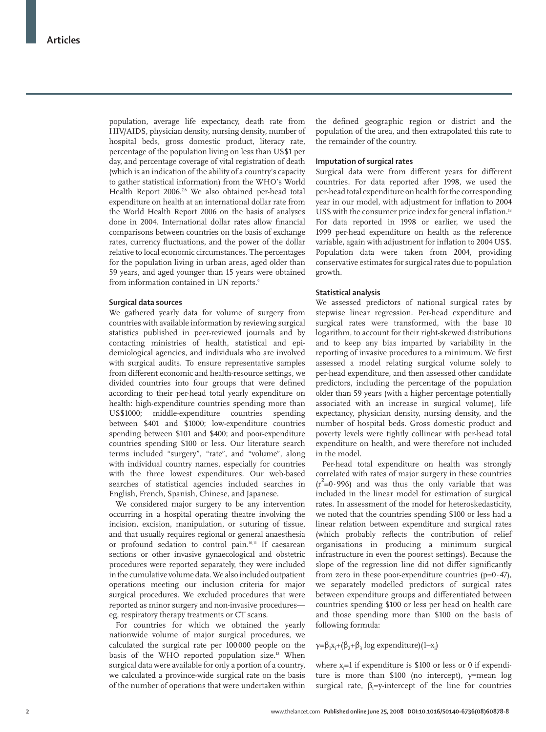population, average life expectancy, death rate from HIV/AIDS, physician density, nursing density, number of hospital beds, gross domestic product, literacy rate, percentage of the population living on less than US\$1 per day, and percentage coverage of vital registration of death (which is an indication of the ability of a country's capacity to gather statistical information) from the WHO's World Health Report 2006.<sup>7,8</sup> We also obtained per-head total expenditure on health at an international dollar rate from the World Health Report 2006 on the basis of analyses done in 2004. International dollar rates allow financial comparisons between countries on the basis of exchange rates, currency fluctuations, and the power of the dollar relative to local economic circumstances. The percentages for the population living in urban areas, aged older than 59 years, and aged younger than 15 years were obtained from information contained in UN reports.<sup>9</sup>

### **Surgical data sources**

We gathered yearly data for volume of surgery from countries with available information by reviewing surgical statistics published in peer-reviewed journals and by contacting ministries of health, statistical and epidemiological agencies, and individuals who are involved with surgical audits. To ensure representative samples from different economic and health-resource settings, we divided countries into four groups that were defined according to their per-head total yearly expenditure on health: high-expenditure countries spending more than US\$1000; middle-expenditure countries spending between \$401 and \$1000; low-expenditure countries spending between \$101 and \$400; and poor-expenditure countries spending \$100 or less. Our literature search terms included "surgery", "rate", and "volume", along with individual country names, especially for countries with the three lowest expenditures. Our web-based searches of statistical agencies included searches in English, French, Spanish, Chinese, and Japanese.

We considered major surgery to be any intervention occurring in a hospital operating theatre involving the incision, excision, manipulation, or suturing of tissue, and that usually requires regional or general anaesthesia or profound sedation to control pain.10,11 If caesarean sections or other invasive gynaecological and obstetric procedures were reported separately, they were included in the cumulative volume data. We also included outpatient operations meeting our inclusion criteria for major surgical procedures. We excluded procedures that were reported as minor surgery and non-invasive procedures eg, respiratory therapy treatments or CT scans.

For countries for which we obtained the yearly nationwide volume of major surgical procedures, we calculated the surgical rate per 100 000 people on the basis of the WHO reported population size.<sup>12</sup> When surgical data were available for only a portion of a country, we calculated a province-wide surgical rate on the basis of the number of operations that were undertaken within

the defined geographic region or district and the population of the area, and then extrapolated this rate to the remainder of the country.

### **Imputation of surgical rates**

Surgical data were from different years for different countries. For data reported after 1998, we used the per-head total expenditure on health for the corresponding year in our model, with adjustment for inflation to 2004 US\$ with the consumer price index for general inflation.<sup>13</sup> For data reported in 1998 or earlier, we used the 1999 per-head expenditure on health as the reference variable, again with adjustment for inflation to 2004 US\$. Population data were taken from 2004, providing conservative estimates for surgical rates due to population growth.

#### **Statistical analysis**

We assessed predictors of national surgical rates by stepwise linear regression. Per-head expenditure and surgical rates were transformed, with the base 10 logarithm, to account for their right-skewed distributions and to keep any bias imparted by variability in the reporting of invasive procedures to a minimum. We first assessed a model relating surgical volume solely to per-head expenditure, and then assessed other candidate predictors, including the percentage of the population older than 59 years (with a higher percentage potentially associated with an increase in surgical volume), life expectancy, physician density, nursing density, and the number of hospital beds. Gross domestic product and poverty levels were tightly collinear with per-head total expenditure on health, and were therefore not included in the model.

Per-head total expenditure on health was strongly correlated with rates of major surgery in these countries  $(r^2=0.996)$  and was thus the only variable that was included in the linear model for estimation of surgical rates. In assessment of the model for heteroskedasticity, we noted that the countries spending \$100 or less had a linear relation between expenditure and surgical rates (which probably reflects the contribution of relief organisations in producing a minimum surgical infrastructure in even the poorest settings). Because the slope of the regression line did not differ significantly from zero in these poor-expenditure countries  $(p=0.47)$ , we separately modelled predictors of surgical rates between expenditure groups and differentiated between countries spending \$100 or less per head on health care and those spending more than \$100 on the basis of following formula:

γ=β<sub>1</sub>x<sub>i</sub>+(β<sub>2</sub>+β<sub>3</sub> log expenditure)(1–x<sub>i</sub>)

where  $x_i = 1$  if expenditure is \$100 or less or 0 if expenditure is more than \$100 (no intercept), γ=mean log surgical rate,  $\beta_1 = y$ -intercept of the line for countries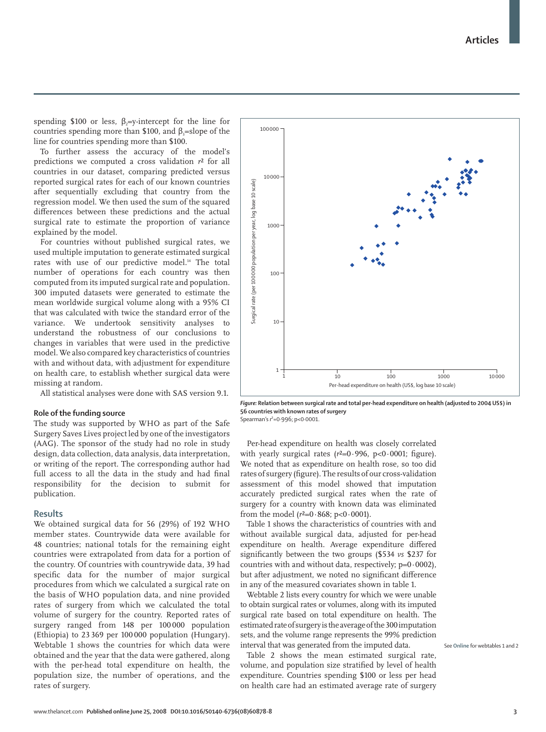www.thelancet.com**Published online June 25, 2008 DOI:10.1016/S0140-6736(08)60878-8 3**

spending \$100 or less,  $\beta$ <sub>i</sub>=y-intercept for the line for countries spending more than \$100, and  $\beta_3$ =slope of the line for countries spending more than \$100.

To further assess the accuracy of the model's predictions we computed a cross validation *r*² for all countries in our dataset, comparing predicted versus reported surgical rates for each of our known countries after sequentially excluding that country from the regression model. We then used the sum of the squared differences between these predictions and the actual surgical rate to estimate the proportion of variance explained by the model.

For countries without published surgical rates, we used multiple imputation to generate estimated surgical rates with use of our predictive model.<sup>14</sup> The total number of operations for each country was then computed from its imputed surgical rate and population. 300 imputed datasets were generated to estimate the mean worldwide surgical volume along with a 95% CI that was calculated with twice the standard error of the variance. We undertook sensitivity analyses to understand the robustness of our conclusions to changes in variables that were used in the predictive model. We also compared key characteristics of countries with and without data, with adjustment for expenditure on health care, to establish whether surgical data were missing at random.

All statistical analyses were done with SAS version 9.1.

### **Role of the funding source**

The study was supported by WHO as part of the Safe Surgery Saves Lives project led by one of the investigators (AAG). The sponsor of the study had no role in study design, data collection, data analysis, data interpretation, or writing of the report. The corresponding author had full access to all the data in the study and had final responsibility for the decision to submit for publication.

#### **Results**

We obtained surgical data for 56 (29%) of 192 WHO member states. Countrywide data were available for 48 countries; national totals for the remaining eight countries were extrapolated from data for a portion of the country. Of countries with countrywide data, 39 had specific data for the number of major surgical procedures from which we calculated a surgical rate on the basis of WHO population data, and nine provided rates of surgery from which we calculated the total volume of surgery for the country. Reported rates of surgery ranged from 148 per 100 000 population (Ethiopia) to 23 369 per 100 000 population (Hungary). Webtable 1 shows the countries for which data were obtained and the year that the data were gathered, along with the per-head total expenditure on health, the population size, the number of operations, and the rates of surgery.

**56 countries with known rates of surgery**  Spearman's *r*²=0·996; p<0·0001.

Per-head expenditure on health was closely correlated with yearly surgical rates  $(r^2=0.996, p<0.0001;$  figure). We noted that as expenditure on health rose, so too did rates of surgery (figure). The results of our cross-validation assessment of this model showed that imputation accurately predicted surgical rates when the rate of surgery for a country with known data was eliminated from the model  $(r^2=0.868; p<0.0001)$ .

10000

100000

Table 1 shows the characteristics of countries with and without available surgical data, adjusted for per-head expenditure on health. Average expenditure differed significantly between the two groups (\$534 *vs* \$237 for countries with and without data, respectively;  $p=0.0002$ ), but after adjustment, we noted no significant difference in any of the measured covariates shown in table 1.

Webtable 2 lists every country for which we were unable to obtain surgical rates or volumes, along with its imputed surgical rate based on total expenditure on health. The estimated rate of surgery is the average of the 300 imputation sets, and the volume range represents the 99% prediction interval that was generated from the imputed data.

Table 2 shows the mean estimated surgical rate, volume, and population size stratified by level of health expenditure. Countries spending \$100 or less per head on health care had an estimated average rate of surgery

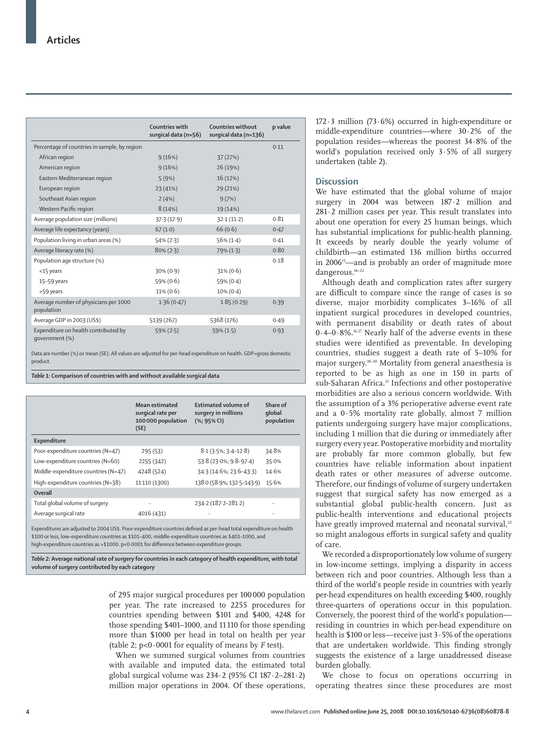|                                                        | Countries with<br>surgical data (n=56) | Countries without<br>surgical data (n=136) | p value |
|--------------------------------------------------------|----------------------------------------|--------------------------------------------|---------|
| Percentage of countries in sample, by region           |                                        |                                            | 0.11    |
| African region                                         | 9(16%)                                 | 37(27%)                                    |         |
| American region                                        | 9(16%)                                 | 26 (19%)                                   |         |
| Eastern Mediterranean region                           | 5(9%)                                  | 16 (12%)                                   |         |
| European region                                        | 23(41%)                                | 29 (21%)                                   |         |
| Southeast Asian region                                 | 2(4%)                                  | 9(7%)                                      |         |
| Western Pacific region                                 | 8(14%)                                 | 19 (14%)                                   |         |
| Average population size (millions)                     | 37.3(17.9)                             | 32.1(11.2)                                 | 0.81    |
| Average life expectancy (years)                        | 67(1.0)                                | 66(0.6)                                    | 0.47    |
| Population living in urban areas (%)                   | $54\% (2.3)$                           | $56\% (1.4)$                               | 0.41    |
| Average literacy rate (%)                              | $80\% (2.3)$                           | 79% (1.3)                                  | 0.80    |
| Population age structure (%)                           |                                        |                                            | 0.18    |
| <15 years                                              | $30\% (0.9)$                           | $31\% (0.6)$                               |         |
| 15-59 years                                            | 59% (0.6)                              | $59\% (0.4)$                               |         |
| >59 years                                              | $11\% (0.6)$                           | $10\% (0.4)$                               |         |
| Average number of physicians per 1000<br>population    | 1.36(0.47)                             | 1.85(0.29)                                 | 0.39    |
| Average GDP in 2003 (US\$)                             | 5139 (267)                             | 5368 (176)                                 | 0.49    |
| Expenditure on health contributed by<br>qovernment (%) | $59\% (2.5)$                           | $59\% (1.5)$                               | 0.93    |

Data are number (%) or mean (SE). All values are adjusted for per-head expenditure on health. GDP=gross domestic product.

*Table 1:* **Comparison of countries with and without available surgical data**

|                                     | <b>Mean estimated</b><br>surgical rate per<br>100 000 population<br>(SE) | <b>Estimated volume of</b><br>surgery in millions<br>$(% )$ (%; 95% CI) | Share of<br>qlobal<br>population |
|-------------------------------------|--------------------------------------------------------------------------|-------------------------------------------------------------------------|----------------------------------|
| Expenditure                         |                                                                          |                                                                         |                                  |
| Poor-expenditure countries (N=47)   | 295(53)                                                                  | $8.1(3.5\%; 3.4-12.8)$                                                  | 34.8%                            |
| Low-expenditure countries (N=60)    | 2255 (342)                                                               | 53.8 (23.0%; 9.8-97.4)                                                  | 35.0%                            |
| Middle-expenditure countries (N=47) | 4248 (524)                                                               | 34.3 (14.6%; 23.6-43.3)                                                 | 14.6%                            |
| High-expenditure countries (N=38)   | 11110 (1300)                                                             | 138.0 (58.9%; 132.5-143.9)                                              | 15.6%                            |
| Overall                             |                                                                          |                                                                         |                                  |
| Total global volume of surgery      |                                                                          | 234-2 (187-2-281-2)                                                     |                                  |
| Average surgical rate               | 4016 (431)                                                               |                                                                         |                                  |
|                                     |                                                                          |                                                                         |                                  |

Expenditures are adjusted to 2004 US\$. Poor-expenditure countries defined as per-head total expenditure on health \$100 or less, low-expenditure countries as \$101–400, middle-expenditure countries as \$401–1000, and high-expenditure countries as >\$1000. p<0.0001 for difference between expenditure groups.

*Table 2:* **Average national rate of surgery for countries in each category of health expenditure, with total volume of surgery contributed by each category**

> of 295 major surgical procedures per 100 000 population per year. The rate increased to 2255 procedures for countries spending between \$101 and \$400, 4248 for those spending \$401–1000, and 11 110 for those spending more than \$1000 per head in total on health per year (table 2; p<0·0001 for equality of means by *F* test).

When we summed surgical volumes from countries with available and imputed data, the estimated total global surgical volume was 234·2 (95% CI 187·2–281·2) million major operations in 2004. Of these operations, 172 $\cdot$ 3 million (73 $\cdot$ 6%) occurred in high-expenditure or middle-expenditure countries—where 30·2% of the population resides—whereas the poorest 34·8% of the world's population received only 3·5% of all surgery undertaken (table 2).

# **Discussion**

We have estimated that the global volume of major surgery in 2004 was between 187·2 million and 281·2 million cases per year. This result translates into about one operation for every 25 human beings, which has substantial implications for public-health planning. It exceeds by nearly double the yearly volume of childbirth—an estimated 136 million births occurred in 2006<sup>15</sup>—and is probably an order of magnitude more dangerous.16–22

Although death and complication rates after surgery are difficult to compare since the range of cases is so diverse, major morbidity complicates 3–16% of all inpatient surgical procedures in developed countries, with permanent disability or death rates of about 0·4–0·8%.16,17 Nearly half of the adverse events in these studies were identified as preventable. In developing countries, studies suggest a death rate of 5–10% for major surgery.18–20 Mortality from general anaesthesia is reported to be as high as one in 150 in parts of sub-Saharan Africa.<sup>21</sup> Infections and other postoperative morbidities are also a serious concern worldwide. With the assumption of a 3% perioperative adverse event rate and a 0·5% mortality rate globally, almost 7 million patients undergoing surgery have major complications, including 1 million that die during or immediately after surgery every year. Postoperative morbidity and mortality are probably far more common globally, but few countries have reliable information about inpatient death rates or other measures of adverse outcome. Therefore, our findings of volume of surgery undertaken suggest that surgical safety has now emerged as a substantial global public-health concern. Just as public-health interventions and educational projects have greatly improved maternal and neonatal survival,<sup>22</sup> so might analogous efforts in surgical safety and quality of care.

We recorded a disproportionately low volume of surgery in low-income settings, implying a disparity in access between rich and poor countries. Although less than a third of the world's people reside in countries with yearly per-head expenditures on health exceeding \$400, roughly three-quarters of operations occur in this population. Conversely, the poorest third of the world's population residing in countries in which per-head expenditure on health is \$100 or less—receive just 3·5% of the operations that are undertaken worldwide. This finding strongly suggests the existence of a large unaddressed disease burden globally.

We chose to focus on operations occurring in operating theatres since these procedures are most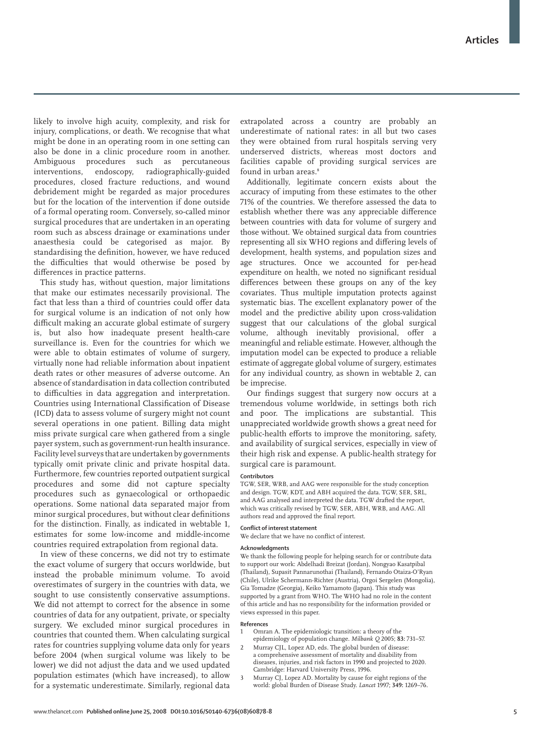likely to involve high acuity, complexity, and risk for injury, complications, or death. We recognise that what might be done in an operating room in one setting can also be done in a clinic procedure room in another. Ambiguous procedures such as percutaneous interventions, endoscopy, radiographically-guided procedures, closed fracture reductions, and wound debridement might be regarded as major procedures but for the location of the intervention if done outside of a formal operating room. Conversely, so-called minor surgical procedures that are undertaken in an operating room such as abscess drainage or examinations under anaesthesia could be categorised as major. By standardising the definition, however, we have reduced the difficulties that would otherwise be posed by differences in practice patterns.

This study has, without question, major limitations that make our estimates necessarily provisional. The fact that less than a third of countries could offer data for surgical volume is an indication of not only how difficult making an accurate global estimate of surgery is, but also how inadequate present health-care surveillance is. Even for the countries for which we were able to obtain estimates of volume of surgery, virtually none had reliable information about inpatient death rates or other measures of adverse outcome. An absence of standardisation in data collection contributed to difficulties in data aggregation and interpretation. Countries using International Classification of Disease (ICD) data to assess volume of surgery might not count several operations in one patient. Billing data might miss private surgical care when gathered from a single payer system, such as government-run health insurance. Facility level surveys that are undertaken by governments typically omit private clinic and private hospital data. Furthermore, few countries reported outpatient surgical procedures and some did not capture specialty procedures such as gynaecological or orthopaedic operations. Some national data separated major from minor surgical procedures, but without clear definitions for the distinction. Finally, as indicated in webtable 1, estimates for some low-income and middle-income countries required extrapolation from regional data.

In view of these concerns, we did not try to estimate the exact volume of surgery that occurs worldwide, but instead the probable minimum volume. To avoid overestimates of surgery in the countries with data, we sought to use consistently conservative assumptions. We did not attempt to correct for the absence in some countries of data for any outpatient, private, or specialty surgery. We excluded minor surgical procedures in countries that counted them. When calculating surgical rates for countries supplying volume data only for years before 2004 (when surgical volume was likely to be lower) we did not adjust the data and we used updated population estimates (which have increased), to allow for a systematic underestimate. Similarly, regional data extrapolated across a country are probably an underestimate of national rates: in all but two cases they were obtained from rural hospitals serving very underserved districts, whereas most doctors and facilities capable of providing surgical services are found in urban areas.<sup>8</sup>

Additionally, legitimate concern exists about the accuracy of imputing from these estimates to the other 71% of the countries. We therefore assessed the data to establish whether there was any appreciable difference between countries with data for volume of surgery and those without. We obtained surgical data from countries representing all six WHO regions and differing levels of development, health systems, and population sizes and age structures. Once we accounted for per-head expenditure on health, we noted no significant residual differences between these groups on any of the key covariates. Thus multiple imputation protects against systematic bias. The excellent explanatory power of the model and the predictive ability upon cross-validation suggest that our calculations of the global surgical volume, although inevitably provisional, offer a meaningful and reliable estimate. However, although the imputation model can be expected to produce a reliable estimate of aggregate global volume of surgery, estimates for any individual country, as shown in webtable 2, can be imprecise.

Our findings suggest that surgery now occurs at a tremendous volume worldwide, in settings both rich and poor. The implications are substantial. This unappreciated worldwide growth shows a great need for public-health efforts to improve the monitoring, safety, and availability of surgical services, especially in view of their high risk and expense. A public-health strategy for surgical care is paramount.

#### **Contributors**

TGW, SER, WRB, and AAG were responsible for the study conception and design. TGW, KDT, and ABH acquired the data. TGW, SER, SRL, and AAG analysed and interpreted the data. TGW drafted the report, which was critically revised by TGW, SER, ABH, WRB, and AAG. All authors read and approved the final report.

#### **Confl ict of interest statement**

We declare that we have no conflict of interest.

#### **Acknowledgments**

We thank the following people for helping search for or contribute data to support our work: Abdelhadi Breizat (Jordan), Nongyao Kasatpibal (Thailand), Supasit Pannarunothai (Thailand), Fernando Otaiza-O'Ryan (Chile), Ulrike Schermann-Richter (Austria), Orgoi Sergelen (Mongolia), Gia Tomadze (Georgia), Keiko Yamamoto (Japan). This study was supported by a grant from WHO. The WHO had no role in the content of this article and has no responsibility for the information provided or views expressed in this paper.

#### **References**

- Omran A. The epidemiologic transition: a theory of the epidemiology of population change. *Milbank Q* 2005; **83:** 731–57.
- Murray CJL, Lopez AD, eds. The global burden of disease: a comprehensive assessment of mortality and disability from diseases, injuries, and risk factors in 1990 and projected to 2020. Cambridge: Harvard University Press, 1996.
- 3 Murray CJ, Lopez AD. Mortality by cause for eight regions of the world: global Burden of Disease Study. *Lancet* 1997; **349:** 1269–76.